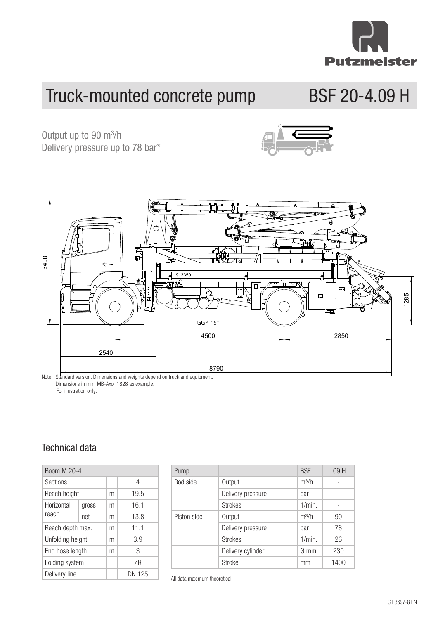

# Truck-mounted concrete pump BSF 20-4.09 H

**Truck-mounted BSF 20-4.09 H** Delivery pressure up to 78 bar\* Output up to 90 m<sup>3</sup>/h



Dimensions in mm, MB-Axor 1828 as example. For illustration only. Horizontal Rod Delivery pressure bar -

### Sections 4  $\sum_{n=1}^{\infty}$ Technical data

| Boom M 20-4      |       |   |        |  |  |
|------------------|-------|---|--------|--|--|
| <b>Sections</b>  |       |   | 4      |  |  |
| Reach height     |       | m | 19.5   |  |  |
| Horizontal       | gross | m | 16.1   |  |  |
| reach            | net   | m | 13.8   |  |  |
| Reach depth max. |       | m | 11.1   |  |  |
| Unfolding height |       | m | 3.9    |  |  |
| End hose length  |       | m | 3      |  |  |
| Folding system   |       |   | 7R     |  |  |
| Delivery line    |       |   | DN 125 |  |  |
|                  |       |   |        |  |  |

| Pump        |                   | <b>BSF</b>     | .09H |
|-------------|-------------------|----------------|------|
| Rod side    | Output            | $m^3/h$        |      |
|             | Delivery pressure | bar            |      |
|             | <b>Strokes</b>    | $1/min$ .      |      |
| Piston side | Output            | $m^3/h$        | 90   |
|             | Delivery pressure | bar            | 78   |
|             | <b>Strokes</b>    | $1/min$ .      | 26   |
|             | Delivery cylinder | $\emptyset$ mm | 230  |
|             | <b>Stroke</b>     | mm             | 1400 |

All data maximum theoretical.